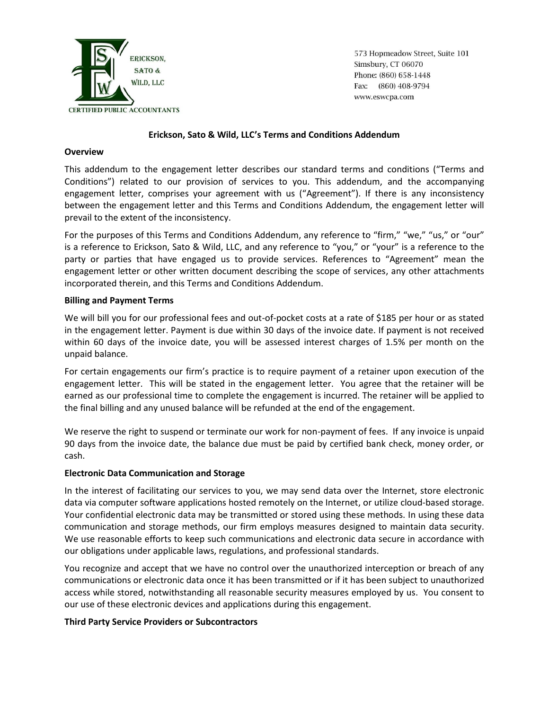

573 Hopmeadow Street, Suite 101 Simsbury, CT 06070 Phone: (860) 658-1448 Fax: (860) 408-9794 www.eswcpa.com

## **Erickson, Sato & Wild, LLC's Terms and Conditions Addendum**

#### **Overview**

This addendum to the engagement letter describes our standard terms and conditions ("Terms and Conditions") related to our provision of services to you. This addendum, and the accompanying engagement letter, comprises your agreement with us ("Agreement"). If there is any inconsistency between the engagement letter and this Terms and Conditions Addendum, the engagement letter will prevail to the extent of the inconsistency.

For the purposes of this Terms and Conditions Addendum, any reference to "firm," "we," "us," or "our" is a reference to Erickson, Sato & Wild, LLC, and any reference to "you," or "your" is a reference to the party or parties that have engaged us to provide services. References to "Agreement" mean the engagement letter or other written document describing the scope of services, any other attachments incorporated therein, and this Terms and Conditions Addendum.

## **Billing and Payment Terms**

We will bill you for our professional fees and out-of-pocket costs at a rate of \$185 per hour or as stated in the engagement letter. Payment is due within 30 days of the invoice date. If payment is not received within 60 days of the invoice date, you will be assessed interest charges of 1.5% per month on the unpaid balance.

For certain engagements our firm's practice is to require payment of a retainer upon execution of the engagement letter. This will be stated in the engagement letter. You agree that the retainer will be earned as our professional time to complete the engagement is incurred. The retainer will be applied to the final billing and any unused balance will be refunded at the end of the engagement.

We reserve the right to suspend or terminate our work for non-payment of fees. If any invoice is unpaid 90 days from the invoice date, the balance due must be paid by certified bank check, money order, or cash.

# **Electronic Data Communication and Storage**

In the interest of facilitating our services to you, we may send data over the Internet, store electronic data via computer software applications hosted remotely on the Internet, or utilize cloud-based storage. Your confidential electronic data may be transmitted or stored using these methods. In using these data communication and storage methods, our firm employs measures designed to maintain data security. We use reasonable efforts to keep such communications and electronic data secure in accordance with our obligations under applicable laws, regulations, and professional standards.

You recognize and accept that we have no control over the unauthorized interception or breach of any communications or electronic data once it has been transmitted or if it has been subject to unauthorized access while stored, notwithstanding all reasonable security measures employed by us. You consent to our use of these electronic devices and applications during this engagement.

# **Third Party Service Providers or Subcontractors**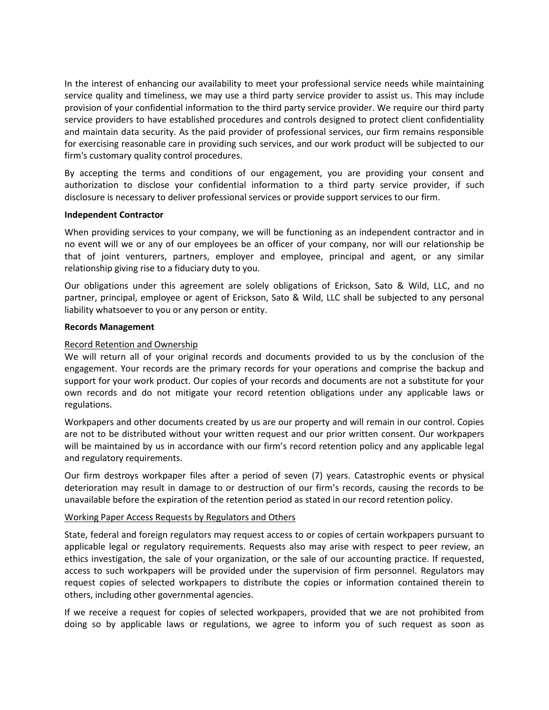In the interest of enhancing our availability to meet your professional service needs while maintaining service quality and timeliness, we may use a third party service provider to assist us. This may include provision of your confidential information to the third party service provider. We require our third party service providers to have established procedures and controls designed to protect client confidentiality and maintain data security. As the paid provider of professional services, our firm remains responsible for exercising reasonable care in providing such services, and our work product will be subjected to our firm's customary quality control procedures.

By accepting the terms and conditions of our engagement, you are providing your consent and authorization to disclose your confidential information to a third party service provider, if such disclosure is necessary to deliver professional services or provide support services to our firm.

## **Independent Contractor**

When providing services to your company, we will be functioning as an independent contractor and in no event will we or any of our employees be an officer of your company, nor will our relationship be that of joint venturers, partners, employer and employee, principal and agent, or any similar relationship giving rise to a fiduciary duty to you.

Our obligations under this agreement are solely obligations of Erickson, Sato & Wild, LLC, and no partner, principal, employee or agent of Erickson, Sato & Wild, LLC shall be subjected to any personal liability whatsoever to you or any person or entity.

#### **Records Management**

## Record Retention and Ownership

We will return all of your original records and documents provided to us by the conclusion of the engagement. Your records are the primary records for your operations and comprise the backup and support for your work product. Our copies of your records and documents are not a substitute for your own records and do not mitigate your record retention obligations under any applicable laws or regulations.

Workpapers and other documents created by us are our property and will remain in our control. Copies are not to be distributed without your written request and our prior written consent. Our workpapers will be maintained by us in accordance with our firm's record retention policy and any applicable legal and regulatory requirements.

Our firm destroys workpaper files after a period of seven (7) years. Catastrophic events or physical deterioration may result in damage to or destruction of our firm's records, causing the records to be unavailable before the expiration of the retention period as stated in our record retention policy.

#### Working Paper Access Requests by Regulators and Others

State, federal and foreign regulators may request access to or copies of certain workpapers pursuant to applicable legal or regulatory requirements. Requests also may arise with respect to peer review, an ethics investigation, the sale of your organization, or the sale of our accounting practice. If requested, access to such workpapers will be provided under the supervision of firm personnel. Regulators may request copies of selected workpapers to distribute the copies or information contained therein to others, including other governmental agencies.

If we receive a request for copies of selected workpapers, provided that we are not prohibited from doing so by applicable laws or regulations, we agree to inform you of such request as soon as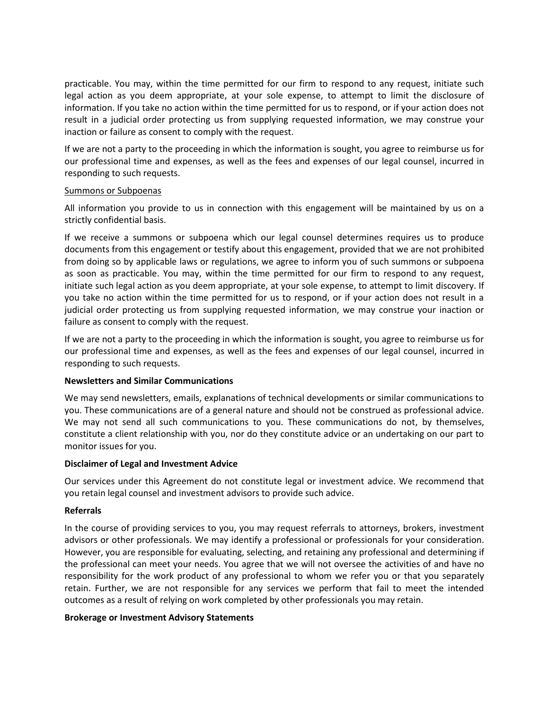practicable. You may, within the time permitted for our firm to respond to any request, initiate such legal action as you deem appropriate, at your sole expense, to attempt to limit the disclosure of information. If you take no action within the time permitted for us to respond, or if your action does not result in a judicial order protecting us from supplying requested information, we may construe your inaction or failure as consent to comply with the request.

If we are not a party to the proceeding in which the information is sought, you agree to reimburse us for our professional time and expenses, as well as the fees and expenses of our legal counsel, incurred in responding to such requests.

## Summons or Subpoenas

All information you provide to us in connection with this engagement will be maintained by us on a strictly confidential basis.

If we receive a summons or subpoena which our legal counsel determines requires us to produce documents from this engagement or testify about this engagement, provided that we are not prohibited from doing so by applicable laws or regulations, we agree to inform you of such summons or subpoena as soon as practicable. You may, within the time permitted for our firm to respond to any request, initiate such legal action as you deem appropriate, at your sole expense, to attempt to limit discovery. If you take no action within the time permitted for us to respond, or if your action does not result in a judicial order protecting us from supplying requested information, we may construe your inaction or failure as consent to comply with the request.

If we are not a party to the proceeding in which the information is sought, you agree to reimburse us for our professional time and expenses, as well as the fees and expenses of our legal counsel, incurred in responding to such requests.

# **Newsletters and Similar Communications**

We may send newsletters, emails, explanations of technical developments or similar communications to you. These communications are of a general nature and should not be construed as professional advice. We may not send all such communications to you. These communications do not, by themselves, constitute a client relationship with you, nor do they constitute advice or an undertaking on our part to monitor issues for you.

# **Disclaimer of Legal and Investment Advice**

Our services under this Agreement do not constitute legal or investment advice. We recommend that you retain legal counsel and investment advisors to provide such advice.

#### **Referrals**

In the course of providing services to you, you may request referrals to attorneys, brokers, investment advisors or other professionals. We may identify a professional or professionals for your consideration. However, you are responsible for evaluating, selecting, and retaining any professional and determining if the professional can meet your needs. You agree that we will not oversee the activities of and have no responsibility for the work product of any professional to whom we refer you or that you separately retain. Further, we are not responsible for any services we perform that fail to meet the intended outcomes as a result of relying on work completed by other professionals you may retain.

#### **Brokerage or Investment Advisory Statements**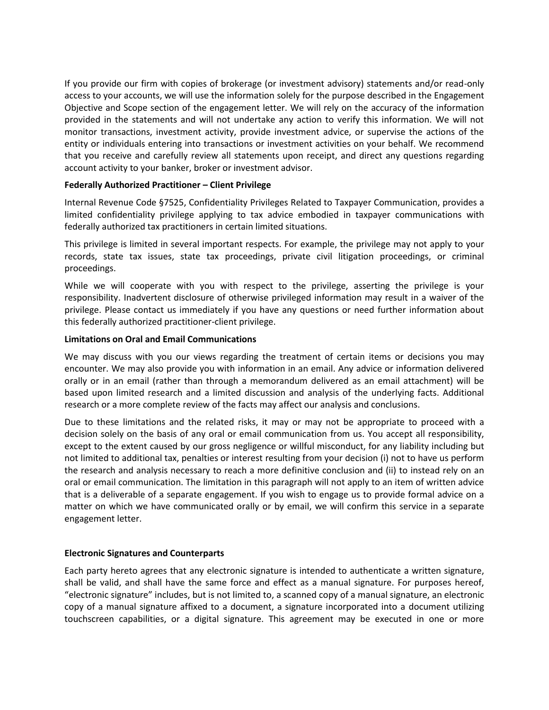If you provide our firm with copies of brokerage (or investment advisory) statements and/or read-only access to your accounts, we will use the information solely for the purpose described in the Engagement Objective and Scope section of the engagement letter. We will rely on the accuracy of the information provided in the statements and will not undertake any action to verify this information. We will not monitor transactions, investment activity, provide investment advice, or supervise the actions of the entity or individuals entering into transactions or investment activities on your behalf. We recommend that you receive and carefully review all statements upon receipt, and direct any questions regarding account activity to your banker, broker or investment advisor.

## **Federally Authorized Practitioner – Client Privilege**

Internal Revenue Code §7525, Confidentiality Privileges Related to Taxpayer Communication, provides a limited confidentiality privilege applying to tax advice embodied in taxpayer communications with federally authorized tax practitioners in certain limited situations.

This privilege is limited in several important respects. For example, the privilege may not apply to your records, state tax issues, state tax proceedings, private civil litigation proceedings, or criminal proceedings.

While we will cooperate with you with respect to the privilege, asserting the privilege is your responsibility. Inadvertent disclosure of otherwise privileged information may result in a waiver of the privilege. Please contact us immediately if you have any questions or need further information about this federally authorized practitioner-client privilege.

## **Limitations on Oral and Email Communications**

We may discuss with you our views regarding the treatment of certain items or decisions you may encounter. We may also provide you with information in an email. Any advice or information delivered orally or in an email (rather than through a memorandum delivered as an email attachment) will be based upon limited research and a limited discussion and analysis of the underlying facts. Additional research or a more complete review of the facts may affect our analysis and conclusions.

Due to these limitations and the related risks, it may or may not be appropriate to proceed with a decision solely on the basis of any oral or email communication from us. You accept all responsibility, except to the extent caused by our gross negligence or willful misconduct, for any liability including but not limited to additional tax, penalties or interest resulting from your decision (i) not to have us perform the research and analysis necessary to reach a more definitive conclusion and (ii) to instead rely on an oral or email communication. The limitation in this paragraph will not apply to an item of written advice that is a deliverable of a separate engagement. If you wish to engage us to provide formal advice on a matter on which we have communicated orally or by email, we will confirm this service in a separate engagement letter.

# **Electronic Signatures and Counterparts**

Each party hereto agrees that any electronic signature is intended to authenticate a written signature, shall be valid, and shall have the same force and effect as a manual signature. For purposes hereof, "electronic signature" includes, but is not limited to, a scanned copy of a manual signature, an electronic copy of a manual signature affixed to a document, a signature incorporated into a document utilizing touchscreen capabilities, or a digital signature. This agreement may be executed in one or more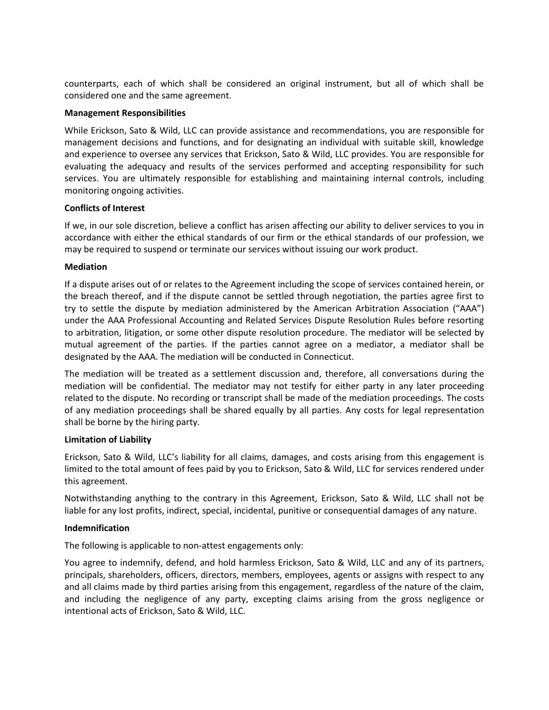counterparts, each of which shall be considered an original instrument, but all of which shall be considered one and the same agreement.

## **Management Responsibilities**

While Erickson, Sato & Wild, LLC can provide assistance and recommendations, you are responsible for management decisions and functions, and for designating an individual with suitable skill, knowledge and experience to oversee any services that Erickson, Sato & Wild, LLC provides. You are responsible for evaluating the adequacy and results of the services performed and accepting responsibility for such services. You are ultimately responsible for establishing and maintaining internal controls, including monitoring ongoing activities.

## **Conflicts of Interest**

If we, in our sole discretion, believe a conflict has arisen affecting our ability to deliver services to you in accordance with either the ethical standards of our firm or the ethical standards of our profession, we may be required to suspend or terminate our services without issuing our work product.

## **Mediation**

If a dispute arises out of or relates to the Agreement including the scope of services contained herein, or the breach thereof, and if the dispute cannot be settled through negotiation, the parties agree first to try to settle the dispute by mediation administered by the American Arbitration Association ("AAA") under the AAA Professional Accounting and Related Services Dispute Resolution Rules before resorting to arbitration, litigation, or some other dispute resolution procedure. The mediator will be selected by mutual agreement of the parties. If the parties cannot agree on a mediator, a mediator shall be designated by the AAA. The mediation will be conducted in Connecticut.

The mediation will be treated as a settlement discussion and, therefore, all conversations during the mediation will be confidential. The mediator may not testify for either party in any later proceeding related to the dispute. No recording or transcript shall be made of the mediation proceedings. The costs of any mediation proceedings shall be shared equally by all parties. Any costs for legal representation shall be borne by the hiring party.

# **Limitation of Liability**

Erickson, Sato & Wild, LLC's liability for all claims, damages, and costs arising from this engagement is limited to the total amount of fees paid by you to Erickson, Sato & Wild, LLC for services rendered under this agreement.

Notwithstanding anything to the contrary in this Agreement, Erickson, Sato & Wild, LLC shall not be liable for any lost profits, indirect, special, incidental, punitive or consequential damages of any nature.

# **Indemnification**

The following is applicable to non-attest engagements only:

You agree to indemnify, defend, and hold harmless Erickson, Sato & Wild, LLC and any of its partners, principals, shareholders, officers, directors, members, employees, agents or assigns with respect to any and all claims made by third parties arising from this engagement, regardless of the nature of the claim, and including the negligence of any party, excepting claims arising from the gross negligence or intentional acts of Erickson, Sato & Wild, LLC.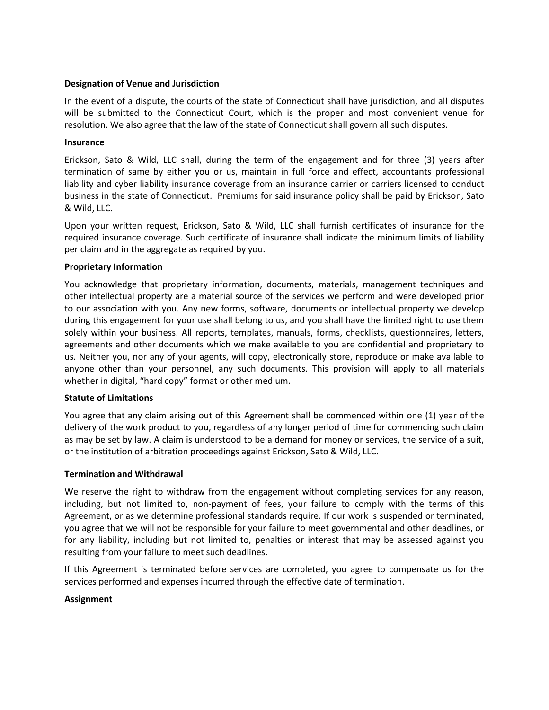## **Designation of Venue and Jurisdiction**

In the event of a dispute, the courts of the state of Connecticut shall have jurisdiction, and all disputes will be submitted to the Connecticut Court, which is the proper and most convenient venue for resolution. We also agree that the law of the state of Connecticut shall govern all such disputes.

#### **Insurance**

Erickson, Sato & Wild, LLC shall, during the term of the engagement and for three (3) years after termination of same by either you or us, maintain in full force and effect, accountants professional liability and cyber liability insurance coverage from an insurance carrier or carriers licensed to conduct business in the state of Connecticut. Premiums for said insurance policy shall be paid by Erickson, Sato & Wild, LLC.

Upon your written request, Erickson, Sato & Wild, LLC shall furnish certificates of insurance for the required insurance coverage. Such certificate of insurance shall indicate the minimum limits of liability per claim and in the aggregate as required by you.

## **Proprietary Information**

You acknowledge that proprietary information, documents, materials, management techniques and other intellectual property are a material source of the services we perform and were developed prior to our association with you. Any new forms, software, documents or intellectual property we develop during this engagement for your use shall belong to us, and you shall have the limited right to use them solely within your business. All reports, templates, manuals, forms, checklists, questionnaires, letters, agreements and other documents which we make available to you are confidential and proprietary to us. Neither you, nor any of your agents, will copy, electronically store, reproduce or make available to anyone other than your personnel, any such documents. This provision will apply to all materials whether in digital, "hard copy" format or other medium.

#### **Statute of Limitations**

You agree that any claim arising out of this Agreement shall be commenced within one (1) year of the delivery of the work product to you, regardless of any longer period of time for commencing such claim as may be set by law. A claim is understood to be a demand for money or services, the service of a suit, or the institution of arbitration proceedings against Erickson, Sato & Wild, LLC.

#### **Termination and Withdrawal**

We reserve the right to withdraw from the engagement without completing services for any reason, including, but not limited to, non-payment of fees, your failure to comply with the terms of this Agreement, or as we determine professional standards require. If our work is suspended or terminated, you agree that we will not be responsible for your failure to meet governmental and other deadlines, or for any liability, including but not limited to, penalties or interest that may be assessed against you resulting from your failure to meet such deadlines.

If this Agreement is terminated before services are completed, you agree to compensate us for the services performed and expenses incurred through the effective date of termination.

#### **Assignment**